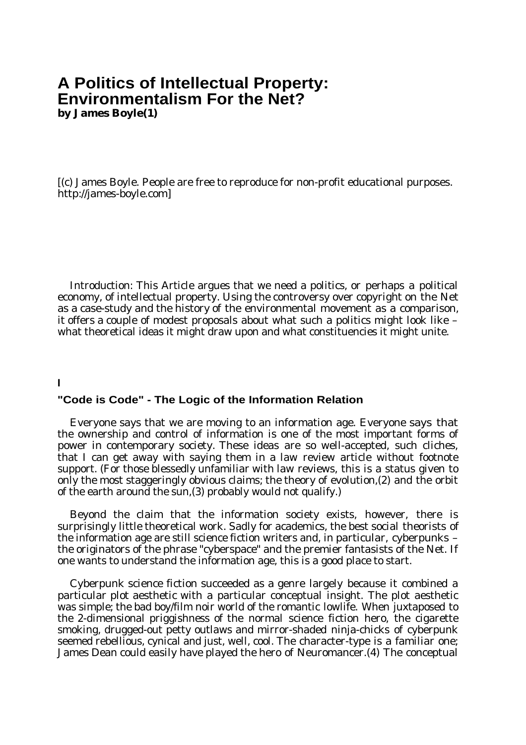# **A Politics of Intellectual Property: Environmentalism For the Net? by James Boyle(1)**

[(c) James Boyle. People are free to reproduce for non-profit educational purposes. http://james-boyle.com]

Introduction: This Article argues that we need a politics, or perhaps a political economy, of intellectual property. Using the controversy over copyright on the Net as a case-study and the history of the environmental movement as a comparison, it offers a couple of modest proposals about what such a politics might look like – what theoretical ideas it might draw upon and what constituencies it might unite.

#### **I**

# **"Code is Code" - The Logic of the Information Relation**

Everyone says that we are moving to an information age. Everyone says that the ownership and control of information is one of the most important forms of power in contemporary society. These ideas are so well-accepted, such cliches, that I can get away with saying them in a law review article without footnote support. (For those blessedly unfamiliar with law reviews, this is a status given to only the most staggeringly obvious claims; the theory of evolution,(2) and the orbit of the earth around the sun,(3) probably would not qualify.)

Beyond the claim that the information society exists, however, there is surprisingly little theoretical work. Sadly for academics, the best social theorists of the information age are still science fiction writers and, in particular, cyberpunks – the originators of the phrase "cyberspace" and the premier fantasists of the Net. If one wants to understand the information age, this is a good place to start.

Cyberpunk science fiction succeeded as a genre largely because it combined a particular plot aesthetic with a particular conceptual insight. The plot aesthetic was simple; the bad boy/film noir world of the romantic lowlife. When juxtaposed to the 2-dimensional priggishness of the normal science fiction hero, the cigarette smoking, drugged-out petty outlaws and mirror-shaded ninja-chicks of cyberpunk seemed rebellious, cynical and just, well, cool. The character-type is a familiar one; James Dean could easily have played the hero of Neuromancer.(4) The conceptual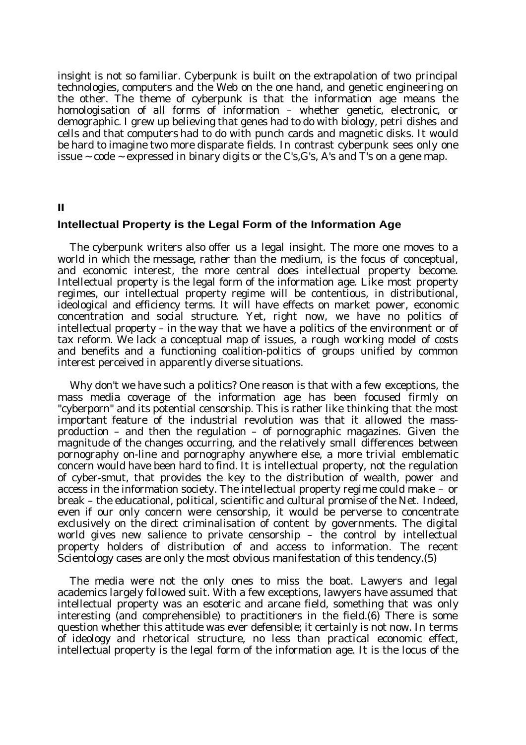insight is not so familiar. Cyberpunk is built on the extrapolation of two principal technologies, computers and the Web on the one hand, and genetic engineering on the other. The theme of cyberpunk is that the information age means the homologisation of all forms of information – whether genetic, electronic, or demographic. I grew up believing that genes had to do with biology, petri dishes and cells and that computers had to do with punch cards and magnetic disks. It would be hard to imagine two more disparate fields. In contrast cyberpunk sees only one issue  $\sim$  code  $\sim$  expressed in binary digits or the C's, G's, A's and T's on a gene map.

#### **II**

#### **Intellectual Property is the Legal Form of the Information Age**

The cyberpunk writers also offer us a legal insight. The more one moves to a world in which the message, rather than the medium, is the focus of conceptual, and economic interest, the more central does intellectual property become. Intellectual property is the legal form of the information age. Like most property regimes, our intellectual property regime will be contentious, in distributional, ideological and efficiency terms. It will have effects on market power, economic concentration and social structure. Yet, right now, we have no politics of intellectual property – in the way that we have a politics of the environment or of tax reform. We lack a conceptual map of issues, a rough working model of costs and benefits and a functioning coalition-politics of groups unified by common interest perceived in apparently diverse situations.

Why don't we have such a politics? One reason is that with a few exceptions, the mass media coverage of the information age has been focused firmly on "cyberporn" and its potential censorship. This is rather like thinking that the most important feature of the industrial revolution was that it allowed the massproduction – and then the regulation – of pornographic magazines. Given the magnitude of the changes occurring, and the relatively small differences between pornography on-line and pornography anywhere else, a more trivial emblematic concern would have been hard to find. It is intellectual property, not the regulation of cyber-smut, that provides the key to the distribution of wealth, power and access in the information society. The intellectual property regime could make – or break – the educational, political, scientific and cultural promise of the Net. Indeed, even if our only concern were censorship, it would be perverse to concentrate exclusively on the direct criminalisation of content by governments. The digital world gives new salience to private censorship – the control by intellectual property holders of distribution of and access to information. The recent Scientology cases are only the most obvious manifestation of this tendency.(5)

The media were not the only ones to miss the boat. Lawyers and legal academics largely followed suit. With a few exceptions, lawyers have assumed that intellectual property was an esoteric and arcane field, something that was only interesting (and comprehensible) to practitioners in the field.(6) There is some question whether this attitude was ever defensible; it certainly is not now. In terms of ideology and rhetorical structure, no less than practical economic effect, intellectual property is the legal form of the information age. It is the locus of the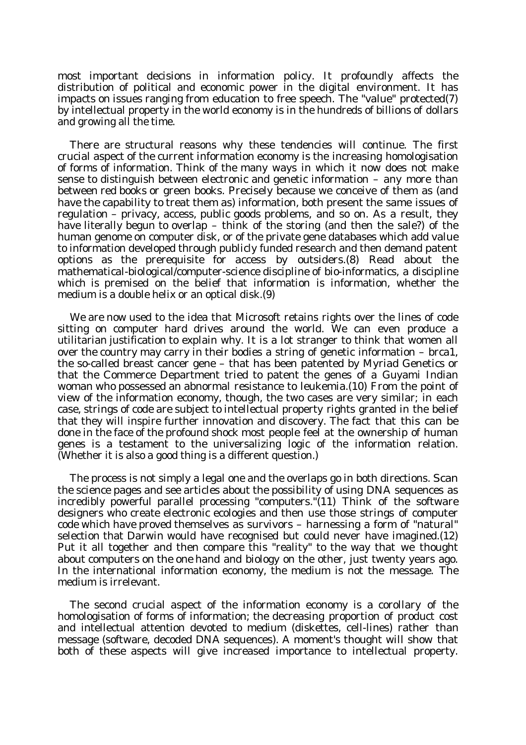most important decisions in information policy. It profoundly affects the distribution of political and economic power in the digital environment. It has impacts on issues ranging from education to free speech. The "value" protected(7) by intellectual property in the world economy is in the hundreds of billions of dollars and growing all the time.

There are structural reasons why these tendencies will continue. The first crucial aspect of the current information economy is the increasing homologisation of forms of information. Think of the many ways in which it now does not make sense to distinguish between electronic and genetic information – any more than between red books or green books. Precisely because we conceive of them as (and have the capability to treat them as) information, both present the same issues of regulation – privacy, access, public goods problems, and so on. As a result, they have literally begun to overlap – think of the storing (and then the sale?) of the human genome on computer disk, or of the private gene databases which add value to information developed through publicly funded research and then demand patent options as the prerequisite for access by outsiders.(8) Read about the mathematical-biological/computer-science discipline of bio-informatics, a discipline which is premised on the belief that information is information, whether the medium is a double helix or an optical disk.(9)

We are now used to the idea that Microsoft retains rights over the lines of code sitting on computer hard drives around the world. We can even produce a utilitarian justification to explain why. It is a lot stranger to think that women all over the country may carry in their bodies a string of genetic information – brca1, the so-called breast cancer gene – that has been patented by Myriad Genetics or that the Commerce Department tried to patent the genes of a Guyami Indian woman who possessed an abnormal resistance to leukemia.(10) From the point of view of the information economy, though, the two cases are very similar; in each case, strings of code are subject to intellectual property rights granted in the belief that they will inspire further innovation and discovery. The fact that this can be done in the face of the profound shock most people feel at the ownership of human genes is a testament to the universalizing logic of the information relation. (Whether it is also a good thing is a different question.)

The process is not simply a legal one and the overlaps go in both directions. Scan the science pages and see articles about the possibility of using DNA sequences as incredibly powerful parallel processing "computers."(11) Think of the software designers who create electronic ecologies and then use those strings of computer code which have proved themselves as survivors – harnessing a form of "natural" selection that Darwin would have recognised but could never have imagined.(12) Put it all together and then compare this "reality" to the way that we thought about computers on the one hand and biology on the other, just twenty years ago. In the international information economy, the medium is not the message. The medium is irrelevant.

The second crucial aspect of the information economy is a corollary of the homologisation of forms of information; the decreasing proportion of product cost and intellectual attention devoted to medium (diskettes, cell-lines) rather than message (software, decoded DNA sequences). A moment's thought will show that both of these aspects will give increased importance to intellectual property.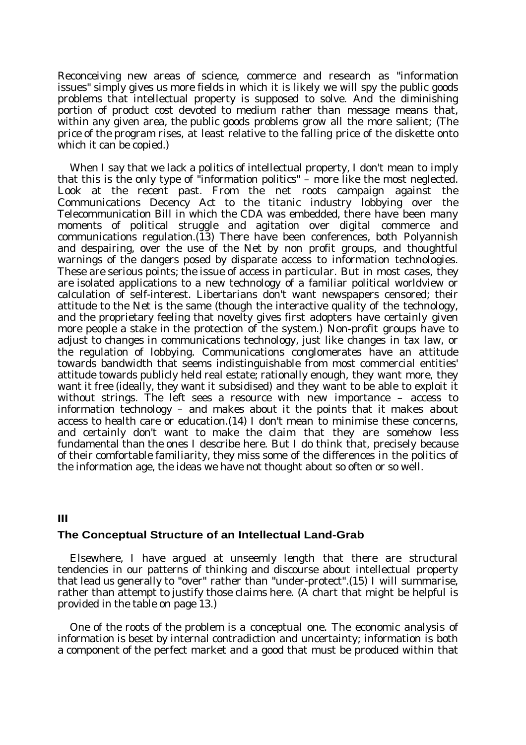Reconceiving new areas of science, commerce and research as "information issues" simply gives us more fields in which it is likely we will spy the public goods problems that intellectual property is supposed to solve. And the diminishing portion of product cost devoted to medium rather than message means that, within any given area, the public goods problems grow all the more salient; (The price of the program rises, at least relative to the falling price of the diskette onto which it can be copied.)

When I say that we lack a politics of intellectual property, I don't mean to imply that this is the only type of "information politics" – more like the most neglected. Look at the recent past. From the net roots campaign against the Communications Decency Act to the titanic industry lobbying over the Telecommunication Bill in which the CDA was embedded, there have been many moments of political struggle and agitation over digital commerce and communications regulation.(13) There have been conferences, both Polyannish and despairing, over the use of the Net by non profit groups, and thoughtful warnings of the dangers posed by disparate access to information technologies. These are serious points; the issue of access in particular. But in most cases, they are isolated applications to a new technology of a familiar political worldview or calculation of self-interest. Libertarians don't want newspapers censored; their attitude to the Net is the same (though the interactive quality of the technology, and the proprietary feeling that novelty gives first adopters have certainly given more people a stake in the protection of the system.) Non-profit groups have to adjust to changes in communications technology, just like changes in tax law, or the regulation of lobbying. Communications conglomerates have an attitude towards bandwidth that seems indistinguishable from most commercial entities' attitude towards publicly held real estate; rationally enough, they want more, they want it free (ideally, they want it subsidised) and they want to be able to exploit it without strings. The left sees a resource with new importance – access to information technology – and makes about it the points that it makes about access to health care or education.(14) I don't mean to minimise these concerns, and certainly don't want to make the claim that they are somehow less fundamental than the ones I describe here. But I do think that, precisely because of their comfortable familiarity, they miss some of the differences in the politics of the information age, the ideas we have not thought about so often or so well.

## **III**

## **The Conceptual Structure of an Intellectual Land-Grab**

Elsewhere, I have argued at unseemly length that there are structural tendencies in our patterns of thinking and discourse about intellectual property that lead us generally to "over" rather than "under-protect".(15) I will summarise, rather than attempt to justify those claims here. (A chart that might be helpful is provided in the table on page 13.)

One of the roots of the problem is a conceptual one. The economic analysis of information is beset by internal contradiction and uncertainty; information is both a component of the perfect market and a good that must be produced within that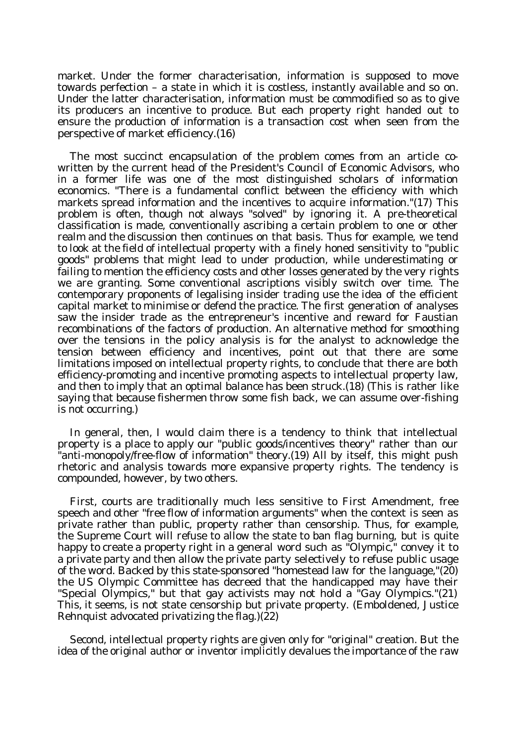market. Under the former characterisation, information is supposed to move towards perfection – a state in which it is costless, instantly available and so on. Under the latter characterisation, information must be commodified so as to give its producers an incentive to produce. But each property right handed out to ensure the production of information is a transaction cost when seen from the perspective of market efficiency.(16)

The most succinct encapsulation of the problem comes from an article cowritten by the current head of the President's Council of Economic Advisors, who in a former life was one of the most distinguished scholars of information economics. "There is a fundamental conflict between the efficiency with which markets spread information and the incentives to acquire information."(17) This problem is often, though not always "solved" by ignoring it. A pre-theoretical classification is made, conventionally ascribing a certain problem to one or other realm and the discussion then continues on that basis. Thus for example, we tend to look at the field of intellectual property with a finely honed sensitivity to "public goods" problems that might lead to under production, while underestimating or failing to mention the efficiency costs and other losses generated by the very rights we are granting. Some conventional ascriptions visibly switch over time. The contemporary proponents of legalising insider trading use the idea of the efficient capital market to minimise or defend the practice. The first generation of analyses saw the insider trade as the entrepreneur's incentive and reward for Faustian recombinations of the factors of production. An alternative method for smoothing over the tensions in the policy analysis is for the analyst to acknowledge the tension between efficiency and incentives, point out that there are some limitations imposed on intellectual property rights, to conclude that there are both efficiency-promoting and incentive promoting aspects to intellectual property law, and then to imply that an optimal balance has been struck.(18) (This is rather like saying that because fishermen throw some fish back, we can assume over-fishing is not occurring.)

In general, then, I would claim there is a tendency to think that intellectual property is a place to apply our "public goods/incentives theory" rather than our "anti-monopoly/free-flow of information" theory.(19) All by itself, this might push rhetoric and analysis towards more expansive property rights. The tendency is compounded, however, by two others.

First, courts are traditionally much less sensitive to First Amendment, free speech and other "free flow of information arguments" when the context is seen as private rather than public, property rather than censorship. Thus, for example, the Supreme Court will refuse to allow the state to ban flag burning, but is quite happy to create a property right in a general word such as "Olympic," convey it to a private party and then allow the private party selectively to refuse public usage of the word. Backed by this state-sponsored "homestead law for the language,"(20) the US Olympic Committee has decreed that the handicapped may have their "Special Olympics," but that gay activists may not hold a "Gay Olympics."(21) This, it seems, is not state censorship but private property. (Emboldened, Justice Rehnquist advocated privatizing the flag.) $(22)$ 

Second, intellectual property rights are given only for "original" creation. But the idea of the original author or inventor implicitly devalues the importance of the raw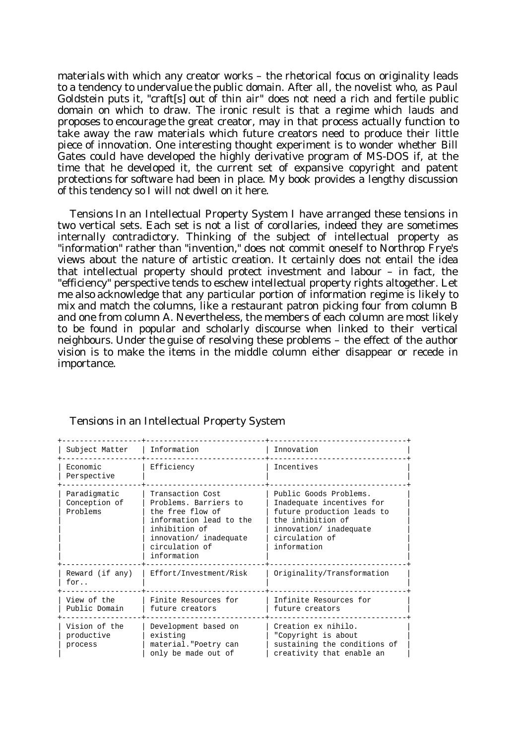materials with which any creator works – the rhetorical focus on originality leads to a tendency to undervalue the public domain. After all, the novelist who, as Paul Goldstein puts it, "craft[s] out of thin air" does not need a rich and fertile public domain on which to draw. The ironic result is that a regime which lauds and proposes to encourage the great creator, may in that process actually function to take away the raw materials which future creators need to produce their little piece of innovation. One interesting thought experiment is to wonder whether Bill Gates could have developed the highly derivative program of MS-DOS if, at the time that he developed it, the current set of expansive copyright and patent protections for software had been in place. My book provides a lengthy discussion of this tendency so I will not dwell on it here.

Tensions In an Intellectual Property System I have arranged these tensions in two vertical sets. Each set is not a list of corollaries, indeed they are sometimes internally contradictory. Thinking of the subject of intellectual property as "information" rather than "invention," does not commit oneself to Northrop Frye's views about the nature of artistic creation. It certainly does not entail the idea that intellectual property should protect investment and labour – in fact, the "efficiency" perspective tends to eschew intellectual property rights altogether. Let me also acknowledge that any particular portion of information regime is likely to mix and match the columns, like a restaurant patron picking four from column B and one from column A. Nevertheless, the members of each column are most likely to be found in popular and scholarly discourse when linked to their vertical neighbours. Under the guise of resolving these problems – the effect of the author vision is to make the items in the middle column either disappear or recede in importance.

| Subject Matter                            | Information                                                                                                                                                          | Innovation                                                                                                                                                        |
|-------------------------------------------|----------------------------------------------------------------------------------------------------------------------------------------------------------------------|-------------------------------------------------------------------------------------------------------------------------------------------------------------------|
| Economic<br>Perspective                   | Efficiency                                                                                                                                                           | Incentives                                                                                                                                                        |
| Paradigmatic<br>Conception of<br>Problems | Transaction Cost<br>Problems. Barriers to<br>the free flow of<br>information lead to the<br>inhibition of<br>innovation/ inadequate<br>circulation of<br>information | Public Goods Problems.<br>Inadequate incentives for<br>future production leads to<br>the inhibition of<br>innovation/ inadequate<br>circulation of<br>information |
| Reward (if any)<br>for. $\cdot$           | Effort/Investment/Risk                                                                                                                                               | Originality/Transformation                                                                                                                                        |
| View of the<br>Public Domain              | Finite Resources for<br>future creators                                                                                                                              | Infinite Resources for<br>future creators                                                                                                                         |
| Vision of the<br>productive<br>process    | Development based on<br>existing<br>material. "Poetry can<br>only be made out of                                                                                     | Creation ex nihilo.<br>"Copyright is about<br>sustaining the conditions of<br>creativity that enable an                                                           |

# Tensions in an Intellectual Property System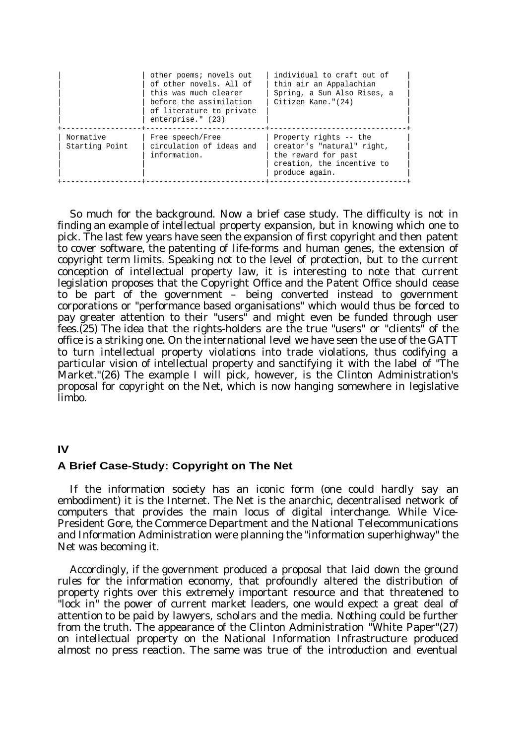|                             | other poems; novels out<br>of other novels. All of<br>this was much clearer<br>before the assimilation<br>of literature to private<br>enterprise." (23) | individual to craft out of<br>thin air an Appalachian<br>Spring, a Sun Also Rises, a<br>Citizen Kane."(24)                  |
|-----------------------------|---------------------------------------------------------------------------------------------------------------------------------------------------------|-----------------------------------------------------------------------------------------------------------------------------|
| Normative<br>Starting Point | Free speech/Free<br>circulation of ideas and<br>information.                                                                                            | Property rights -- the<br>creator's "natural" right,<br>the reward for past<br>creation, the incentive to<br>produce again. |

So much for the background. Now a brief case study. The difficulty is not in finding an example of intellectual property expansion, but in knowing which one to pick. The last few years have seen the expansion of first copyright and then patent to cover software, the patenting of life-forms and human genes, the extension of copyright term limits. Speaking not to the level of protection, but to the current conception of intellectual property law, it is interesting to note that current legislation proposes that the Copyright Office and the Patent Office should cease to be part of the government – being converted instead to government corporations or "performance based organisations" which would thus be forced to pay greater attention to their "users" and might even be funded through user fees.(25) The idea that the rights-holders are the true "users" or "clients" of the office is a striking one. On the international level we have seen the use of the GATT to turn intellectual property violations into trade violations, thus codifying a particular vision of intellectual property and sanctifying it with the label of "The Market."(26) The example I will pick, however, is the Clinton Administration's proposal for copyright on the Net, which is now hanging somewhere in legislative limbo.

## **IV**

## **A Brief Case-Study: Copyright on The Net**

If the information society has an iconic form (one could hardly say an embodiment) it is the Internet. The Net is the anarchic, decentralised network of computers that provides the main locus of digital interchange. While Vice-President Gore, the Commerce Department and the National Telecommunications and Information Administration were planning the "information superhighway" the Net was becoming it.

Accordingly, if the government produced a proposal that laid down the ground rules for the information economy, that profoundly altered the distribution of property rights over this extremely important resource and that threatened to "lock in" the power of current market leaders, one would expect a great deal of attention to be paid by lawyers, scholars and the media. Nothing could be further from the truth. The appearance of the Clinton Administration "White Paper"(27) on intellectual property on the National Information Infrastructure produced almost no press reaction. The same was true of the introduction and eventual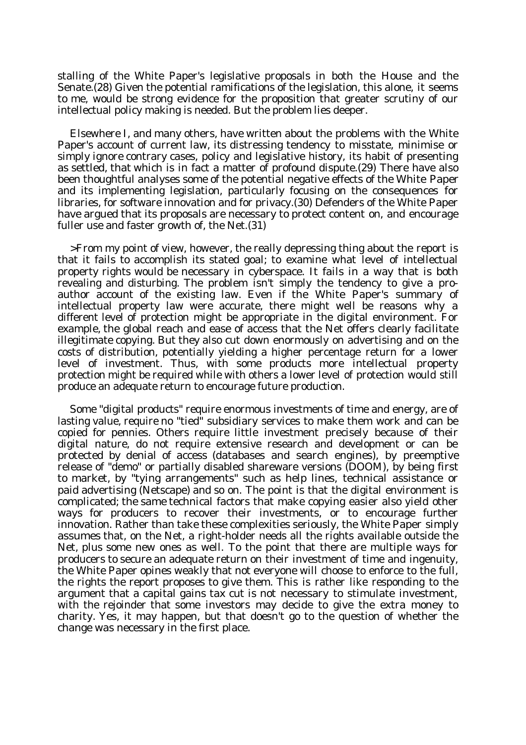stalling of the White Paper's legislative proposals in both the House and the Senate.(28) Given the potential ramifications of the legislation, this alone, it seems to me, would be strong evidence for the proposition that greater scrutiny of our intellectual policy making is needed. But the problem lies deeper.

Elsewhere I, and many others, have written about the problems with the White Paper's account of current law, its distressing tendency to misstate, minimise or simply ignore contrary cases, policy and legislative history, its habit of presenting as settled, that which is in fact a matter of profound dispute.(29) There have also been thoughtful analyses some of the potential negative effects of the White Paper and its implementing legislation, particularly focusing on the consequences for libraries, for software innovation and for privacy.(30) Defenders of the White Paper have argued that its proposals are necessary to protect content on, and encourage fuller use and faster growth of, the Net.(31)

>From my point of view, however, the really depressing thing about the report is that it fails to accomplish its stated goal; to examine what level of intellectual property rights would be necessary in cyberspace. It fails in a way that is both revealing and disturbing. The problem isn't simply the tendency to give a proauthor account of the existing law. Even if the White Paper's summary of intellectual property law were accurate, there might well be reasons why a different level of protection might be appropriate in the digital environment. For example, the global reach and ease of access that the Net offers clearly facilitate illegitimate copying. But they also cut down enormously on advertising and on the costs of distribution, potentially yielding a higher percentage return for a lower level of investment. Thus, with some products more intellectual property protection might be required while with others a lower level of protection would still produce an adequate return to encourage future production.

Some "digital products" require enormous investments of time and energy, are of lasting value, require no "tied" subsidiary services to make them work and can be copied for pennies. Others require little investment precisely because of their digital nature, do not require extensive research and development or can be protected by denial of access (databases and search engines), by preemptive release of "demo" or partially disabled shareware versions (DOOM), by being first to market, by "tying arrangements" such as help lines, technical assistance or paid advertising (Netscape) and so on. The point is that the digital environment is complicated; the same technical factors that make copying easier also yield other ways for producers to recover their investments, or to encourage further innovation. Rather than take these complexities seriously, the White Paper simply assumes that, on the Net, a right-holder needs all the rights available outside the Net, plus some new ones as well. To the point that there are multiple ways for producers to secure an adequate return on their investment of time and ingenuity, the White Paper opines weakly that not everyone will choose to enforce to the full, the rights the report proposes to give them. This is rather like responding to the argument that a capital gains tax cut is not necessary to stimulate investment, with the rejoinder that some investors may decide to give the extra money to charity. Yes, it may happen, but that doesn't go to the question of whether the change was necessary in the first place.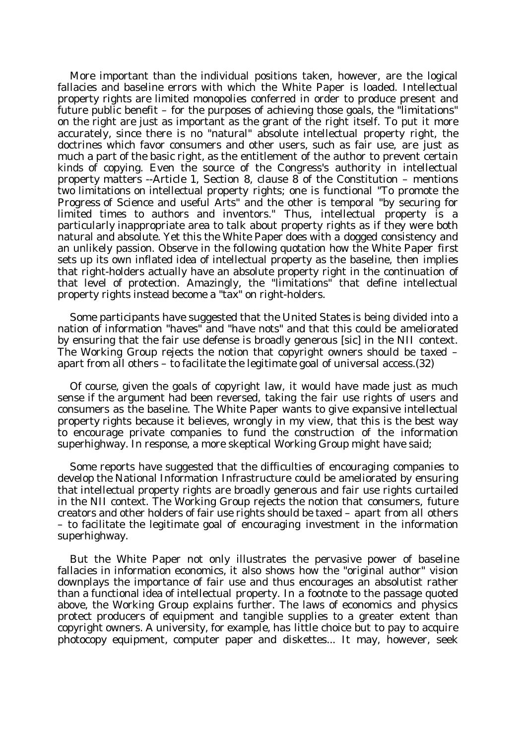More important than the individual positions taken, however, are the logical fallacies and baseline errors with which the White Paper is loaded. Intellectual property rights are limited monopolies conferred in order to produce present and future public benefit – for the purposes of achieving those goals, the "limitations" on the right are just as important as the grant of the right itself. To put it more accurately, since there is no "natural" absolute intellectual property right, the doctrines which favor consumers and other users, such as fair use, are just as much a part of the basic right, as the entitlement of the author to prevent certain kinds of copying. Even the source of the Congress's authority in intellectual property matters --Article 1, Section 8, clause  $\frac{8}{9}$  of the Constitution – mentions two limitations on intellectual property rights; one is functional "To promote the Progress of Science and useful Arts" and the other is temporal "by securing for limited times to authors and inventors." Thus, intellectual property is a particularly inappropriate area to talk about property rights as if they were both natural and absolute. Yet this the White Paper does with a dogged consistency and an unlikely passion. Observe in the following quotation how the White Paper first sets up its own inflated idea of intellectual property as the baseline, then implies that right-holders actually have an absolute property right in the continuation of that level of protection. Amazingly, the "limitations" that define intellectual property rights instead become a "tax" on right-holders.

Some participants have suggested that the United States is being divided into a nation of information "haves" and "have nots" and that this could be ameliorated by ensuring that the fair use defense is broadly generous [sic] in the NII context. The Working Group rejects the notion that copyright owners should be taxed – apart from all others  $-$  to facilitate the legitimate goal of universal access.(32)

Of course, given the goals of copyright law, it would have made just as much sense if the argument had been reversed, taking the fair use rights of users and consumers as the baseline. The White Paper wants to give expansive intellectual property rights because it believes, wrongly in my view, that this is the best way to encourage private companies to fund the construction of the information superhighway. In response, a more skeptical Working Group might have said;

Some reports have suggested that the difficulties of encouraging companies to develop the National Information Infrastructure could be ameliorated by ensuring that intellectual property rights are broadly generous and fair use rights curtailed in the NII context. The Working Group rejects the notion that consumers, future creators and other holders of fair use rights should be taxed – apart from all others – to facilitate the legitimate goal of encouraging investment in the information superhighway.

But the White Paper not only illustrates the pervasive power of baseline fallacies in information economics, it also shows how the "original author" vision downplays the importance of fair use and thus encourages an absolutist rather than a functional idea of intellectual property. In a footnote to the passage quoted above, the Working Group explains further. The laws of economics and physics protect producers of equipment and tangible supplies to a greater extent than copyright owners. A university, for example, has little choice but to pay to acquire photocopy equipment, computer paper and diskettes... It may, however, seek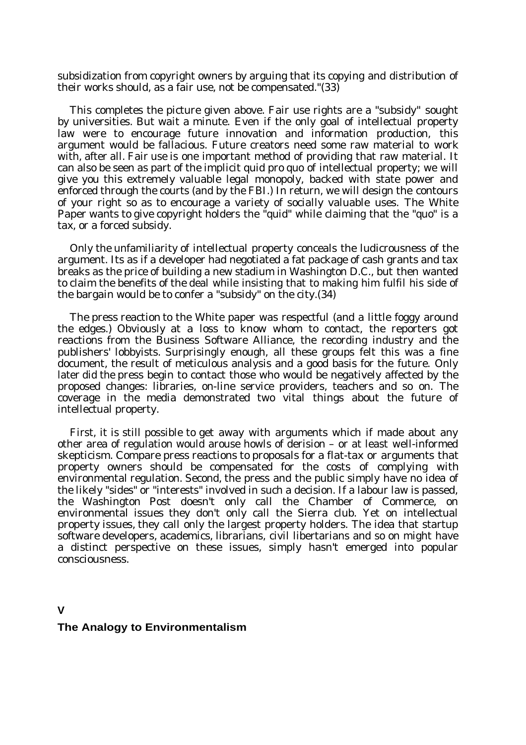subsidization from copyright owners by arguing that its copying and distribution of their works should, as a fair use, not be compensated."(33)

This completes the picture given above. Fair use rights are a "subsidy" sought by universities. But wait a minute. Even if the only goal of intellectual property law were to encourage future innovation and information production, this argument would be fallacious. Future creators need some raw material to work with, after all. Fair use is one important method of providing that raw material. It can also be seen as part of the implicit quid pro quo of intellectual property; we will give you this extremely valuable legal monopoly, backed with state power and enforced through the courts (and by the FBI.) In return, we will design the contours of your right so as to encourage a variety of socially valuable uses. The White Paper wants to give copyright holders the "quid" while claiming that the "quo" is a tax, or a forced subsidy.

Only the unfamiliarity of intellectual property conceals the ludicrousness of the argument. Its as if a developer had negotiated a fat package of cash grants and tax breaks as the price of building a new stadium in Washington D.C., but then wanted to claim the benefits of the deal while insisting that to making him fulfil his side of the bargain would be to confer a "subsidy" on the city.(34)

The press reaction to the White paper was respectful (and a little foggy around the edges.) Obviously at a loss to know whom to contact, the reporters got reactions from the Business Software Alliance, the recording industry and the publishers' lobbyists. Surprisingly enough, all these groups felt this was a fine document, the result of meticulous analysis and a good basis for the future. Only later did the press begin to contact those who would be negatively affected by the proposed changes: libraries, on-line service providers, teachers and so on. The coverage in the media demonstrated two vital things about the future of intellectual property.

First, it is still possible to get away with arguments which if made about any other area of regulation would arouse howls of derision – or at least well-informed skepticism. Compare press reactions to proposals for a flat-tax or arguments that property owners should be compensated for the costs of complying with environmental regulation. Second, the press and the public simply have no idea of the likely "sides" or "interests" involved in such a decision. If a labour law is passed, the Washington Post doesn't only call the Chamber of Commerce, on environmental issues they don't only call the Sierra club. Yet on intellectual property issues, they call only the largest property holders. The idea that startup software developers, academics, librarians, civil libertarians and so on might have a distinct perspective on these issues, simply hasn't emerged into popular consciousness.

# **V The Analogy to Environmentalism**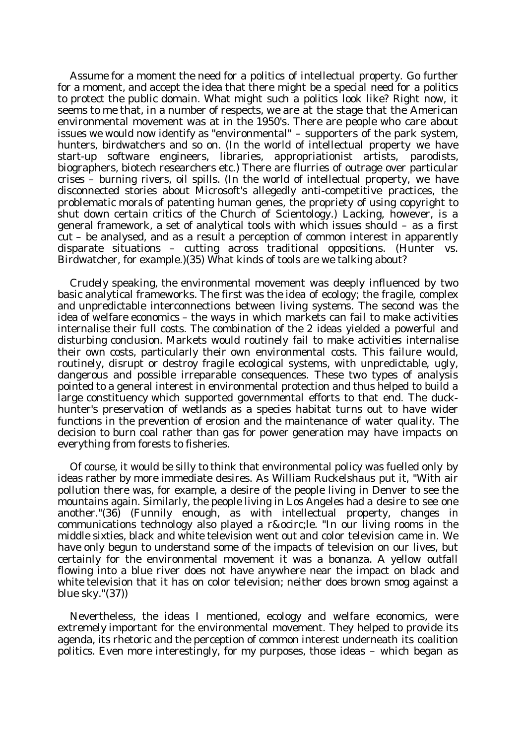Assume for a moment the need for a politics of intellectual property. Go further for a moment, and accept the idea that there might be a special need for a politics to protect the public domain. What might such a politics look like? Right now, it seems to me that, in a number of respects, we are at the stage that the American environmental movement was at in the 1950's. There are people who care about issues we would now identify as "environmental" – supporters of the park system, hunters, birdwatchers and so on. (In the world of intellectual property we have start-up software engineers, libraries, appropriationist artists, parodists, biographers, biotech researchers etc.) There are flurries of outrage over particular crises – burning rivers, oil spills. (In the world of intellectual property, we have disconnected stories about Microsoft's allegedly anti-competitive practices, the problematic morals of patenting human genes, the propriety of using copyright to shut down certain critics of the Church of Scientology.) Lacking, however, is a general framework, a set of analytical tools with which issues should – as a first cut – be analysed, and as a result a perception of common interest in apparently disparate situations – cutting across traditional oppositions. (Hunter vs. Birdwatcher, for example.)(35) What kinds of tools are we talking about?

Crudely speaking, the environmental movement was deeply influenced by two basic analytical frameworks. The first was the idea of ecology; the fragile, complex and unpredictable interconnections between living systems. The second was the idea of welfare economics – the ways in which markets can fail to make activities internalise their full costs. The combination of the 2 ideas yielded a powerful and disturbing conclusion. Markets would routinely fail to make activities internalise their own costs, particularly their own environmental costs. This failure would, routinely, disrupt or destroy fragile ecological systems, with unpredictable, ugly, dangerous and possible irreparable consequences. These two types of analysis pointed to a general interest in environmental protection and thus helped to build a large constituency which supported governmental efforts to that end. The duckhunter's preservation of wetlands as a species habitat turns out to have wider functions in the prevention of erosion and the maintenance of water quality. The decision to burn coal rather than gas for power generation may have impacts on everything from forests to fisheries.

Of course, it would be silly to think that environmental policy was fuelled only by ideas rather by more immediate desires. As William Ruckelshaus put it, "With air pollution there was, for example, a desire of the people living in Denver to see the mountains again. Similarly, the people living in Los Angeles had a desire to see one another."(36) (Funnily enough, as with intellectual property, changes in communications technology also played a rô le. "In our living rooms in the middle sixties, black and white television went out and color television came in. We have only begun to understand some of the impacts of television on our lives, but certainly for the environmental movement it was a bonanza. A yellow outfall flowing into a blue river does not have anywhere near the impact on black and white television that it has on color television; neither does brown smog against a blue sky."(37))

Nevertheless, the ideas I mentioned, ecology and welfare economics, were extremely important for the environmental movement. They helped to provide its agenda, its rhetoric and the perception of common interest underneath its coalition politics. Even more interestingly, for my purposes, those ideas – which began as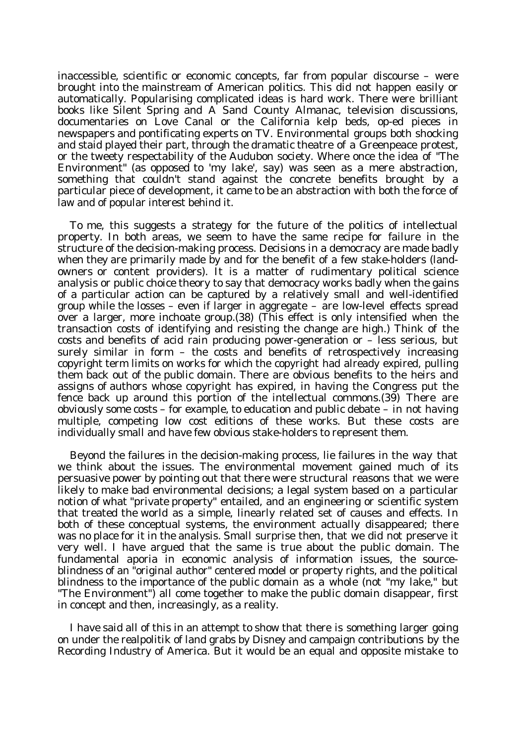inaccessible, scientific or economic concepts, far from popular discourse – were brought into the mainstream of American politics. This did not happen easily or automatically. Popularising complicated ideas is hard work. There were brilliant books like Silent Spring and A Sand County Almanac, television discussions, documentaries on Love Canal or the California kelp beds, op-ed pieces in newspapers and pontificating experts on TV. Environmental groups both shocking and staid played their part, through the dramatic theatre of a Greenpeace protest, or the tweety respectability of the Audubon society. Where once the idea of "The Environment" (as opposed to 'my lake', say) was seen as a mere abstraction, something that couldn't stand against the concrete benefits brought by a particular piece of development, it came to be an abstraction with both the force of law and of popular interest behind it.

To me, this suggests a strategy for the future of the politics of intellectual property. In both areas, we seem to have the same recipe for failure in the structure of the decision-making process. Decisions in a democracy are made badly when they are primarily made by and for the benefit of a few stake-holders (landowners or content providers). It is a matter of rudimentary political science analysis or public choice theory to say that democracy works badly when the gains of a particular action can be captured by a relatively small and well-identified group while the losses – even if larger in aggregate – are low-level effects spread over a larger, more inchoate group.(38) (This effect is only intensified when the transaction costs of identifying and resisting the change are high.) Think of the costs and benefits of acid rain producing power-generation or – less serious, but surely similar in form – the costs and benefits of retrospectively increasing copyright term limits on works for which the copyright had already expired, pulling them back out of the public domain. There are obvious benefits to the heirs and assigns of authors whose copyright has expired, in having the Congress put the fence back up around this portion of the intellectual commons.(39) There are obviously some costs – for example, to education and public debate – in not having multiple, competing low cost editions of these works. But these costs are individually small and have few obvious stake-holders to represent them.

Beyond the failures in the decision-making process, lie failures in the way that we think about the issues. The environmental movement gained much of its persuasive power by pointing out that there were structural reasons that we were likely to make bad environmental decisions; a legal system based on a particular notion of what "private property" entailed, and an engineering or scientific system that treated the world as a simple, linearly related set of causes and effects. In both of these conceptual systems, the environment actually disappeared; there was no place for it in the analysis. Small surprise then, that we did not preserve it very well. I have argued that the same is true about the public domain. The fundamental aporia in economic analysis of information issues, the sourceblindness of an "original author" centered model or property rights, and the political blindness to the importance of the public domain as a whole (not "my lake," but "The Environment") all come together to make the public domain disappear, first in concept and then, increasingly, as a reality.

I have said all of this in an attempt to show that there is something larger going on under the realpolitik of land grabs by Disney and campaign contributions by the Recording Industry of America. But it would be an equal and opposite mistake to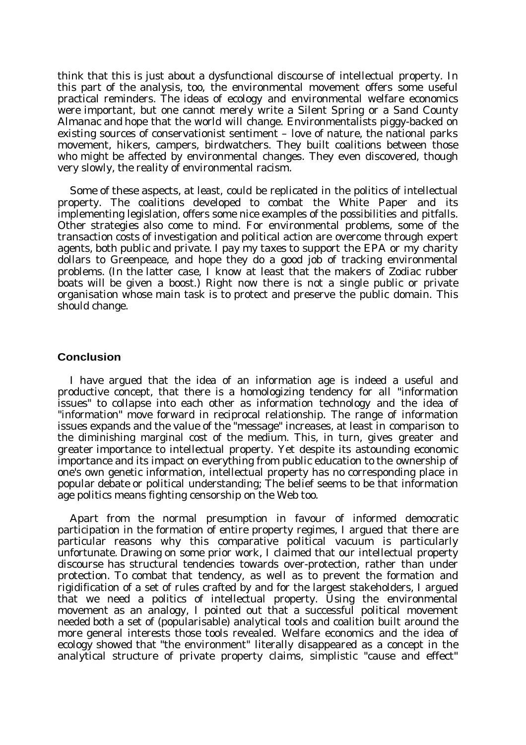think that this is just about a dysfunctional discourse of intellectual property. In this part of the analysis, too, the environmental movement offers some useful practical reminders. The ideas of ecology and environmental welfare economics were important, but one cannot merely write a Silent Spring or a Sand County Almanac and hope that the world will change. Environmentalists piggy-backed on existing sources of conservationist sentiment – love of nature, the national parks movement, hikers, campers, birdwatchers. They built coalitions between those who might be affected by environmental changes. They even discovered, though very slowly, the reality of environmental racism.

Some of these aspects, at least, could be replicated in the politics of intellectual property. The coalitions developed to combat the White Paper and its implementing legislation, offers some nice examples of the possibilities and pitfalls. Other strategies also come to mind. For environmental problems, some of the transaction costs of investigation and political action are overcome through expert agents, both public and private. I pay my taxes to support the EPA or my charity dollars to Greenpeace, and hope they do a good job of tracking environmental problems. (In the latter case, I know at least that the makers of Zodiac rubber boats will be given a boost.) Right now there is not a single public or private organisation whose main task is to protect and preserve the public domain. This should change.

#### **Conclusion**

I have argued that the idea of an information age is indeed a useful and productive concept, that there is a homologizing tendency for all "information issues" to collapse into each other as information technology and the idea of "information" move forward in reciprocal relationship. The range of information issues expands and the value of the "message" increases, at least in comparison to the diminishing marginal cost of the medium. This, in turn, gives greater and greater importance to intellectual property. Yet despite its astounding economic importance and its impact on everything from public education to the ownership of one's own genetic information, intellectual property has no corresponding place in popular debate or political understanding; The belief seems to be that information age politics means fighting censorship on the Web too.

Apart from the normal presumption in favour of informed democratic participation in the formation of entire property regimes, I argued that there are particular reasons why this comparative political vacuum is particularly unfortunate. Drawing on some prior work, I claimed that our intellectual property discourse has structural tendencies towards over-protection, rather than under protection. To combat that tendency, as well as to prevent the formation and rigidification of a set of rules crafted by and for the largest stakeholders, I argued that we need a politics of intellectual property. Using the environmental movement as an analogy, I pointed out that a successful political movement needed both a set of (popularisable) analytical tools and coalition built around the more general interests those tools revealed. Welfare economics and the idea of ecology showed that "the environment" literally disappeared as a concept in the analytical structure of private property claims, simplistic "cause and effect"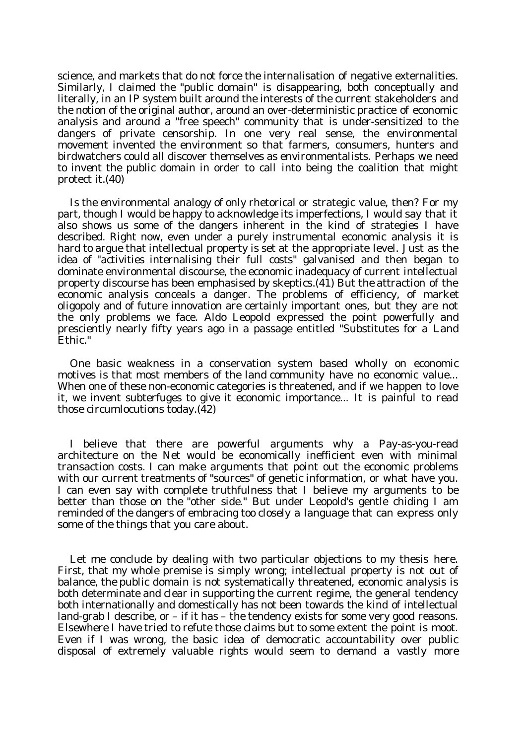science, and markets that do not force the internalisation of negative externalities. Similarly, I claimed the "public domain" is disappearing, both conceptually and literally, in an IP system built around the interests of the current stakeholders and the notion of the original author, around an over-deterministic practice of economic analysis and around a "free speech" community that is under-sensitized to the dangers of private censorship. In one very real sense, the environmental movement invented the environment so that farmers, consumers, hunters and birdwatchers could all discover themselves as environmentalists. Perhaps we need to invent the public domain in order to call into being the coalition that might protect it.(40)

Is the environmental analogy of only rhetorical or strategic value, then? For my part, though I would be happy to acknowledge its imperfections, I would say that it also shows us some of the dangers inherent in the kind of strategies I have described. Right now, even under a purely instrumental economic analysis it is hard to argue that intellectual property is set at the appropriate level. Just as the idea of "activities internalising their full costs" galvanised and then began to dominate environmental discourse, the economic inadequacy of current intellectual property discourse has been emphasised by skeptics.(41) But the attraction of the economic analysis conceals a danger. The problems of efficiency, of market oligopoly and of future innovation are certainly important ones, but they are not the only problems we face. Aldo Leopold expressed the point powerfully and presciently nearly fifty years ago in a passage entitled "Substitutes for a Land Ethic."

One basic weakness in a conservation system based wholly on economic motives is that most members of the land community have no economic value... When one of these non-economic categories is threatened, and if we happen to love it, we invent subterfuges to give it economic importance... It is painful to read those circumlocutions today.(42)

I believe that there are powerful arguments why a Pay-as-you-read architecture on the Net would be economically inefficient even with minimal transaction costs. I can make arguments that point out the economic problems with our current treatments of "sources" of genetic information, or what have you. I can even say with complete truthfulness that I believe my arguments to be better than those on the "other side." But under Leopold's gentle chiding I am reminded of the dangers of embracing too closely a language that can express only some of the things that you care about.

Let me conclude by dealing with two particular objections to my thesis here. First, that my whole premise is simply wrong; intellectual property is not out of balance, the public domain is not systematically threatened, economic analysis is both determinate and clear in supporting the current regime, the general tendency both internationally and domestically has not been towards the kind of intellectual land-grab I describe, or – if it has – the tendency exists for some very good reasons. Elsewhere I have tried to refute those claims but to some extent the point is moot. Even if I was wrong, the basic idea of democratic accountability over public disposal of extremely valuable rights would seem to demand a vastly more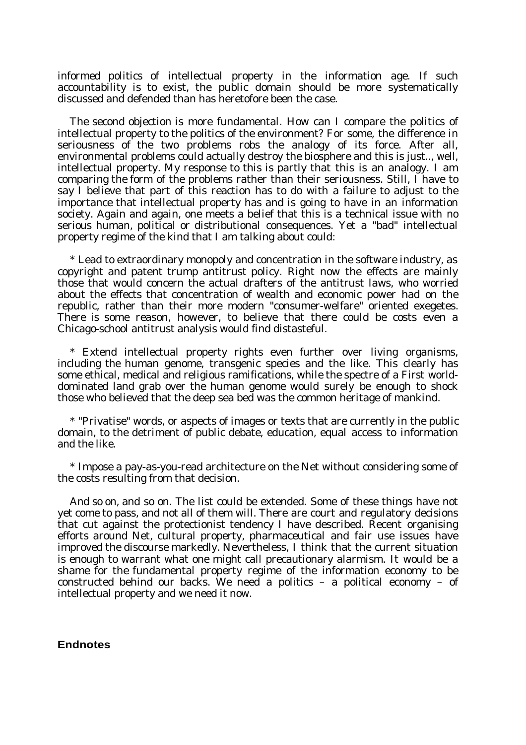informed politics of intellectual property in the information age. If such accountability is to exist, the public domain should be more systematically discussed and defended than has heretofore been the case.

The second objection is more fundamental. How can I compare the politics of intellectual property to the politics of the environment? For some, the difference in seriousness of the two problems robs the analogy of its force. After all, environmental problems could actually destroy the biosphere and this is just.., well, intellectual property. My response to this is partly that this is an analogy. I am comparing the form of the problems rather than their seriousness. Still, I have to say I believe that part of this reaction has to do with a failure to adjust to the importance that intellectual property has and is going to have in an information society. Again and again, one meets a belief that this is a technical issue with no serious human, political or distributional consequences. Yet a "bad" intellectual property regime of the kind that I am talking about could:

\* Lead to extraordinary monopoly and concentration in the software industry, as copyright and patent trump antitrust policy. Right now the effects are mainly those that would concern the actual drafters of the antitrust laws, who worried about the effects that concentration of wealth and economic power had on the republic, rather than their more modern "consumer-welfare" oriented exegetes. There is some reason, however, to believe that there could be costs even a Chicago-school antitrust analysis would find distasteful.

\* Extend intellectual property rights even further over living organisms, including the human genome, transgenic species and the like. This clearly has some ethical, medical and religious ramifications, while the spectre of a First worlddominated land grab over the human genome would surely be enough to shock those who believed that the deep sea bed was the common heritage of mankind.

\* "Privatise" words, or aspects of images or texts that are currently in the public domain, to the detriment of public debate, education, equal access to information and the like.

\* Impose a pay-as-you-read architecture on the Net without considering some of the costs resulting from that decision.

And so on, and so on. The list could be extended. Some of these things have not yet come to pass, and not all of them will. There are court and regulatory decisions that cut against the protectionist tendency I have described. Recent organising efforts around Net, cultural property, pharmaceutical and fair use issues have improved the discourse markedly. Nevertheless, I think that the current situation is enough to warrant what one might call precautionary alarmism. It would be a shame for the fundamental property regime of the information economy to be constructed behind our backs. We need a politics – a political economy – of intellectual property and we need it now.

#### **Endnotes**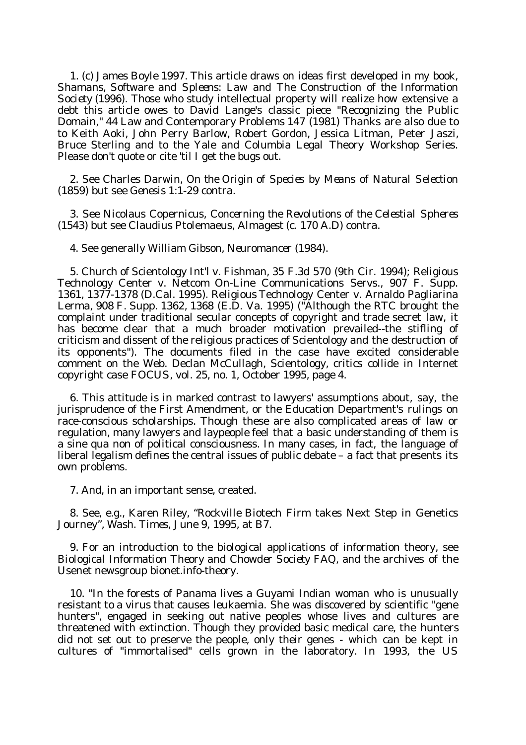1. (c) James Boyle 1997. This article draws on ideas first developed in my book, *Shamans, Software and Spleens: Law and The Construction of the Information Society* (1996). Those who study intellectual property will realize how extensive a debt this article owes to David Lange's classic piece "Recognizing the Public Domain," 44 Law and Contemporary Problems 147 (1981) Thanks are also due to to Keith Aoki, John Perry Barlow, Robert Gordon, Jessica Litman, Peter Jaszi, Bruce Sterling and to the Yale and Columbia Legal Theory Workshop Series. Please don't quote or cite 'til I get the bugs out.

2. See Charles Darwin, *On the Origin of Species by Means of Natural Selection* (1859) but see *Genesis* 1:1-29 contra.

3. See Nicolaus Copernicus, *Concerning the Revolutions of the Celestial Spheres* (1543) but see Claudius Ptolemaeus, *Almagest* (c. 170 A.D) contra.

4. See generally William Gibson, *Neuromancer* (1984).

5. Church of Scientology Int'l v. Fishman, 35 F.3d 570 (9th Cir. 1994); Religious Technology Center v. Netcom On-Line Communications Servs., 907 F. Supp. 1361, 1377-1378 (D.Cal. 1995). Religious Technology Center v. Arnaldo Pagliarina Lerma, 908 F. Supp. 1362, 1368 (E.D. Va. 1995) ("Although the RTC brought the complaint under traditional secular concepts of copyright and trade secret law, it has become clear that a much broader motivation prevailed--the stifling of criticism and dissent of the religious practices of Scientology and the destruction of its opponents"). The documents filed in the case have excited considerable comment on the Web. Declan McCullagh, Scientology, critics collide in Internet copyright case *FOCUS*, vol. 25, no. 1, October 1995, page 4.

6. This attitude is in marked contrast to lawyers' assumptions about, say, the jurisprudence of the First Amendment, or the Education Department's rulings on race-conscious scholarships. Though these are also complicated areas of law or regulation, many lawyers and laypeople feel that a basic understanding of them is a sine qua non of political consciousness. In many cases, in fact, the language of liberal legalism defines the central issues of public debate – a fact that presents its own problems.

7. And, in an important sense, created.

8. See, e.g., Karen Riley, "Rockville Biotech Firm takes Next Step in Genetics Journey", *Wash. Times*, June 9, 1995, at B7.

9. For an introduction to the biological applications of information theory, see *Biological Information Theory and Chowder Society FAQ*, and the archives of the Usenet newsgroup bionet.info-theory.

10. "In the forests of Panama lives a Guyami Indian woman who is unusually resistant to a virus that causes leukaemia. She was discovered by scientific "gene hunters", engaged in seeking out native peoples whose lives and cultures are threatened with extinction. Though they provided basic medical care, the hunters did not set out to preserve the people, only their genes - which can be kept in cultures of "immortalised" cells grown in the laboratory. In 1993, the US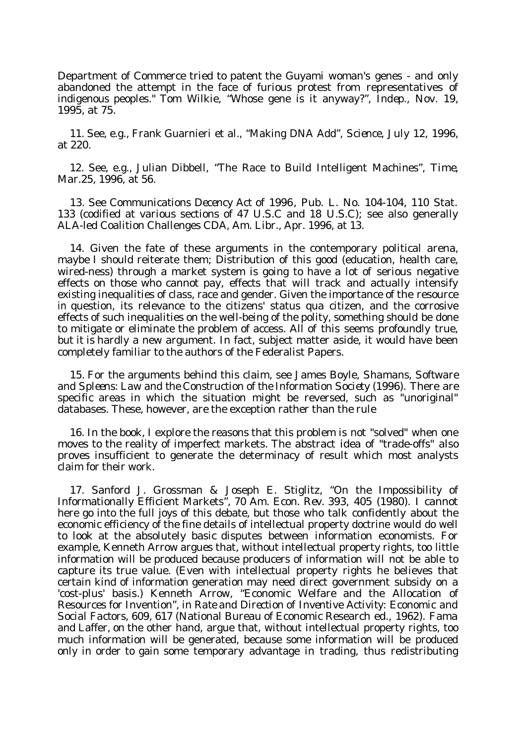Department of Commerce tried to patent the Guyami woman's genes - and only abandoned the attempt in the face of furious protest from representatives of indigenous peoples." Tom Wilkie, "Whose gene is it anyway?", *Indep.*, Nov. 19, 1995, at 75.

11. See, e.g., Frank Guarnieri et al., "Making DNA Add", *Science*, July 12, 1996, at 220.

12. See, e.g., Julian Dibbell, "The Race to Build Intelligent Machines", *Time*, Mar.25, 1996, at 56.

13. See *Communications Decency Act of 1996*, Pub. L. No. 104-104, 110 Stat. 133 (codified at various sections of 47 U.S.C and 18 U.S.C); see also generally ALA-led Coalition Challenges CDA, Am. Libr., Apr. 1996, at 13.

14. Given the fate of these arguments in the contemporary political arena, maybe I should reiterate them; Distribution of this good (education, health care, wired-ness) through a market system is going to have a lot of serious negative effects on those who cannot pay, effects that will track and actually intensify existing inequalities of class, race and gender. Given the importance of the resource in question, its relevance to the citizens' status qua citizen, and the corrosive effects of such inequalities on the well-being of the polity, something should be done to mitigate or eliminate the problem of access. All of this seems profoundly true, but it is hardly a new argument. In fact, subject matter aside, it would have been completely familiar to the authors of the Federalist Papers.

15. For the arguments behind this claim, see James Boyle, *Shamans, Software and Spleens: Law and the Construction of the Information Society* (1996). There are specific areas in which the situation might be reversed, such as "unoriginal" databases. These, however, are the exception rather than the rule

16. In the book, I explore the reasons that this problem is not "solved" when one moves to the reality of imperfect markets. The abstract idea of "trade-offs" also proves insufficient to generate the determinacy of result which most analysts claim for their work.

17. Sanford J. Grossman & Joseph E. Stiglitz, "On the Impossibility of Informationally Efficient Markets", *70 Am. Econ. Rev.* 393, 405 (1980). I cannot here go into the full joys of this debate, but those who talk confidently about the economic efficiency of the fine details of intellectual property doctrine would do well to look at the absolutely basic disputes between information economists. For example, Kenneth Arrow argues that, without intellectual property rights, too little information will be produced because producers of information will not be able to capture its true value. (Even with intellectual property rights he believes that certain kind of information generation may need direct government subsidy on a 'cost-plus' basis.) Kenneth Arrow, "Economic Welfare and the Allocation of Resources for Invention", in *Rate and Direction of Inventive Activity: Economic and Social Factors*, 609, 617 (National Bureau of Economic Research ed., 1962). Fama and Laffer, on the other hand, argue that, without intellectual property rights, too much information will be generated, because some information will be produced only in order to gain some temporary advantage in trading, thus redistributing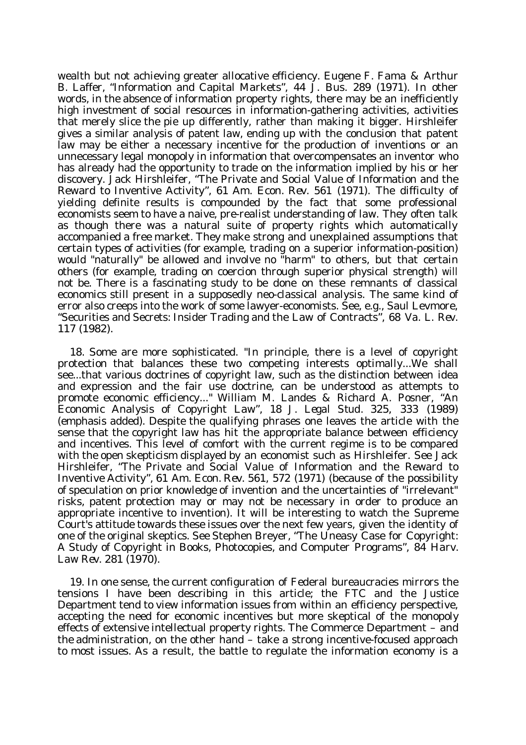wealth but not achieving greater allocative efficiency. Eugene F. Fama & Arthur B. Laffer, "Information and Capital Markets", 44 J. Bus. 289 (1971). In other words, in the absence of information property rights, there may be an inefficiently high investment of social resources in information-gathering activities, activities that merely slice the pie up differently, rather than making it bigger. Hirshleifer gives a similar analysis of patent law, ending up with the conclusion that patent law may be either a necessary incentive for the production of inventions or an unnecessary legal monopoly in information that overcompensates an inventor who has already had the opportunity to trade on the information implied by his or her discovery. Jack Hirshleifer, "The Private and Social Value of Information and the Reward to Inventive Activity", 61 *Am. Econ. Rev.* 561 (1971). The difficulty of yielding definite results is compounded by the fact that some professional economists seem to have a naive, pre-realist understanding of law. They often talk as though there was a natural suite of property rights which automatically accompanied a free market. They make strong and unexplained assumptions that certain types of activities (for example, trading on a superior information-position) would "naturally" be allowed and involve no "harm" to others, but that certain others (for example, trading on coercion through superior physical strength) will not be. There is a fascinating study to be done on these remnants of classical economics still present in a supposedly neo-classical analysis. The same kind of error also creeps into the work of some lawyer-economists. See, e.g., Saul Levmore, "Securities and Secrets: Insider Trading and the Law of Contracts", 68 *Va. L. Rev.* 117 (1982).

18. Some are more sophisticated. "In principle, there is a level of copyright protection that balances these two competing interests optimally...We shall see...that various doctrines of copyright law, such as the distinction between idea and expression and the fair use doctrine, can be understood as attempts to promote economic efficiency..." William M. Landes & Richard A. Posner, "An Economic Analysis of Copyright Law", 18 *J. Legal Stud.* 325, 333 (1989) (emphasis added). Despite the qualifying phrases one leaves the article with the sense that the copyright law has hit the appropriate balance between efficiency and incentives. This level of comfort with the current regime is to be compared with the open skepticism displayed by an economist such as Hirshleifer. See Jack Hirshleifer, "The Private and Social Value of Information and the Reward to Inventive Activity", 61 *Am. Econ. Rev.* 561, 572 (1971) (because of the possibility of speculation on prior knowledge of invention and the uncertainties of "irrelevant" risks, patent protection may or may not be necessary in order to produce an appropriate incentive to invention). It will be interesting to watch the Supreme Court's attitude towards these issues over the next few years, given the identity of one of the original skeptics. See Stephen Breyer, "The Uneasy Case for Copyright: A Study of Copyright in Books, Photocopies, and Computer Programs", 84 *Harv. Law Rev.* 281 (1970).

19. In one sense, the current configuration of Federal bureaucracies mirrors the tensions I have been describing in this article; the FTC and the Justice Department tend to view information issues from within an efficiency perspective, accepting the need for economic incentives but more skeptical of the monopoly effects of extensive intellectual property rights. The Commerce Department – and the administration, on the other hand – take a strong incentive-focused approach to most issues. As a result, the battle to regulate the information economy is a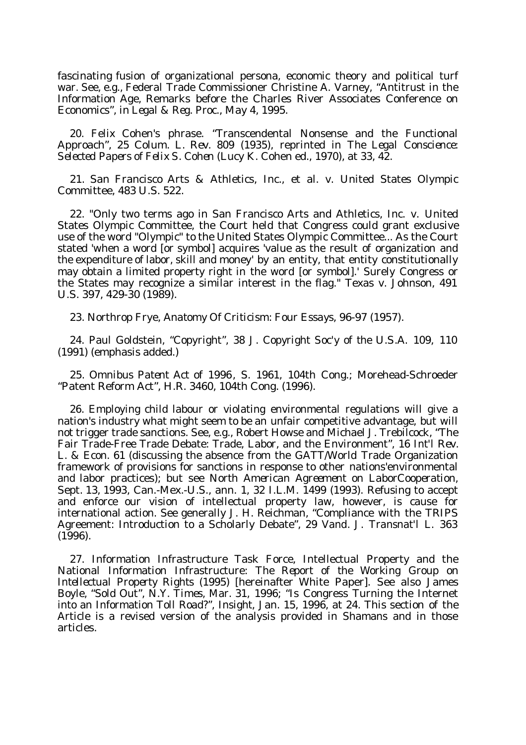fascinating fusion of organizational persona, economic theory and political turf war. See, e.g., Federal Trade Commissioner Christine A. Varney, "Antitrust in the Information Age, Remarks before the Charles River Associates Conference on Economics", in *Legal & Reg. Proc.*, May 4, 1995.

20. Felix Cohen's phrase. "Transcendental Nonsense and the Functional Approach", 25 Colum. *L. Rev.* 809 (1935), reprinted in *The Legal Conscience: Selected Papers of Felix S. Cohen* (Lucy K. Cohen ed., 1970), at 33, 42.

21. San Francisco Arts & Athletics, Inc., et al. v. United States Olympic Committee, 483 U.S. 522.

22. "Only two terms ago in San Francisco Arts and Athletics, Inc. v. United States Olympic Committee, the Court held that Congress could grant exclusive use of the word "Olympic" to the United States Olympic Committee... As the Court stated 'when a word [or symbol] acquires 'value as the result of organization and the expenditure of labor, skill and money' by an entity, that entity constitutionally may obtain a limited property right in the word [or symbol].' Surely Congress or the States may recognize a similar interest in the flag." Texas v. Johnson, 491 U.S. 397, 429-30 (1989).

23. Northrop Frye, *Anatomy Of Criticism: Four Essays*, 96-97 (1957).

24. Paul Goldstein, "Copyright", 38 *J. Copyright Soc'y of the U.S.A.* 109, 110 (1991) (emphasis added.)

25. *Omnibus Patent Act of 1996*, S. 1961, 104th Cong.; Morehead-Schroeder "Patent Reform Act", H.R. 3460, 104th Cong. (1996).

26. Employing child labour or violating environmental regulations will give a nation's industry what might seem to be an unfair competitive advantage, but will not trigger trade sanctions. See, e.g., Robert Howse and Michael J. Trebilcock, "The Fair Trade-Free Trade Debate: Trade, Labor, and the Environment", 16 *Int'l Rev. L. & Econ.* 61 (discussing the absence from the GATT/World Trade Organization framework of provisions for sanctions in response to other nations'environmental and labor practices); but see *North American Agreement on LaborCooperation*, Sept. 13, 1993, Can.-Mex.-U.S., ann. 1, 32 I.L.M. 1499 (1993). Refusing to accept and enforce our vision of intellectual property law, however, is cause for international action. See generally J. H. Reichman, "Compliance with the TRIPS Agreement: Introduction to a Scholarly Debate", 29 *Vand. J. Transnat'l L.* 363 (1996).

27. Information Infrastructure Task Force, Intellectual Property and the National Information Infrastructure: *The Report of the Working Group on Intellectual Property Rights* (1995) [hereinafter White Paper]. See also James Boyle, "Sold Out", *N.Y. Times*, Mar. 31, 1996; "Is Congress Turning the Internet into an Information Toll Road?", *Insight*, Jan. 15, 1996, at 24. This section of the Article is a revised version of the analysis provided in Shamans and in those articles.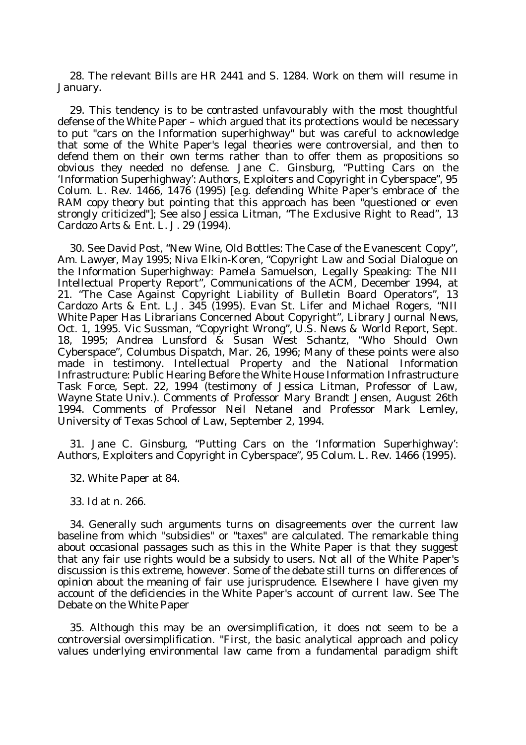28. The relevant Bills are HR 2441 and S. 1284. Work on them will resume in January.

29. This tendency is to be contrasted unfavourably with the most thoughtful defense of the White Paper – which argued that its protections would be necessary to put "cars on the Information superhighway" but was careful to acknowledge that some of the White Paper's legal theories were controversial, and then to defend them on their own terms rather than to offer them as propositions so obvious they needed no defense. Jane C. Ginsburg, "Putting Cars on the 'Information Superhighway': Authors, Exploiters and Copyright in Cyberspace", 95 *Colum. L. Rev.* 1466, 1476 (1995) [e.g. defending White Paper's embrace of the RAM copy theory but pointing that this approach has been "questioned or even strongly criticized"]; See also Jessica Litman, "The Exclusive Right to Read", 13 *Cardozo Arts & Ent. L. J.* 29 (1994).

30. See David Post, "New Wine, Old Bottles: The Case of the Evanescent Copy", *Am. Lawyer*, May 1995; Niva Elkin-Koren, "Copyright Law and Social Dialogue on the Information Superhighway: Pamela Samuelson, Legally Speaking: The NII Intellectual Property Report", *Communications of the ACM*, December 1994, at 21. "The Case Against Copyright Liability of Bulletin Board Operators", 13 *Cardozo Arts & Ent. L.J.* 345 (1995). Evan St. Lifer and Michael Rogers, "NII White Paper Has Librarians Concerned About Copyright", *Library Journal News*, Oct. 1, 1995. Vic Sussman, "Copyright Wrong", *U.S. News & World Report*, Sept. 18, 1995; Andrea Lunsford & Susan West Schantz, "Who Should Own Cyberspace", *Columbus Dispatch*, Mar. 26, 1996; Many of these points were also made in testimony. Intellectual Property and the National Information Infrastructure: Public Hearing Before the White House Information Infrastructure Task Force, Sept. 22, 1994 (testimony of Jessica Litman, Professor of Law, Wayne State Univ.). Comments of Professor Mary Brandt Jensen, August 26th 1994. Comments of Professor Neil Netanel and Professor Mark Lemley, University of Texas School of Law, September 2, 1994.

31. Jane C. Ginsburg, "Putting Cars on the 'Information Superhighway': Authors, Exploiters and Copyright in Cyberspace", 95 *Colum. L. Rev.* 1466 (1995).

32. White Paper at 84.

33. Id at n. 266.

34. Generally such arguments turns on disagreements over the current law baseline from which "subsidies" or "taxes" are calculated. The remarkable thing about occasional passages such as this in the White Paper is that they suggest that any fair use rights would be a subsidy to users. Not all of the White Paper's discussion is this extreme, however. Some of the debate still turns on differences of opinion about the meaning of fair use jurisprudence. Elsewhere I have given my account of the deficiencies in the White Paper's account of current law. See The Debate on the White Paper

35. Although this may be an oversimplification, it does not seem to be a controversial oversimplification. "First, the basic analytical approach and policy values underlying environmental law came from a fundamental paradigm shift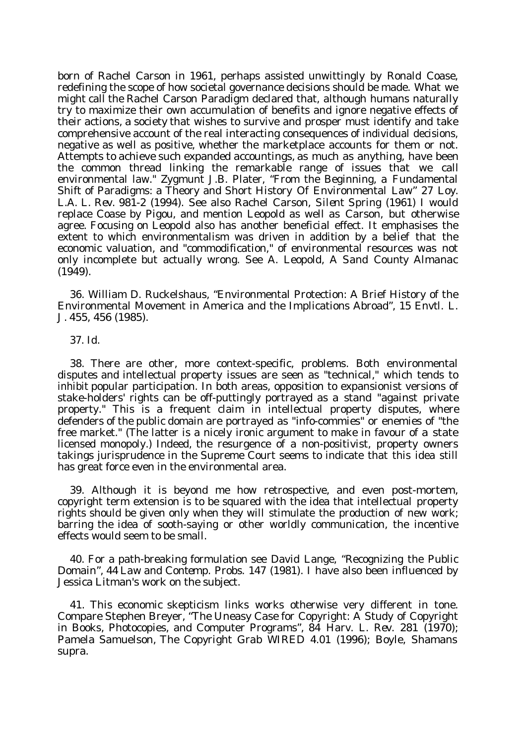born of Rachel Carson in 1961, perhaps assisted unwittingly by Ronald Coase, redefining the scope of how societal governance decisions should be made. What we might call the Rachel Carson Paradigm declared that, although humans naturally try to maximize their own accumulation of benefits and ignore negative effects of their actions, a society that wishes to survive and prosper must identify and take comprehensive account of the real interacting consequences of individual decisions, negative as well as positive, whether the marketplace accounts for them or not. Attempts to achieve such expanded accountings, as much as anything, have been the common thread linking the remarkable range of issues that we call environmental law." Zygmunt J.B. Plater, "From the Beginning, a Fundamental Shift of Paradigms: a Theory and Short History Of Environmental Law" 27 *Loy. L.A. L. Rev.* 981-2 (1994). See also Rachel Carson, *Silent Spring* (1961) I would replace Coase by Pigou, and mention Leopold as well as Carson, but otherwise agree. Focusing on Leopold also has another beneficial effect. It emphasises the extent to which environmentalism was driven in addition by a belief that the economic valuation, and "commodification," of environmental resources was not only incomplete but actually wrong. See A. Leopold, *A Sand County Almanac* (1949).

36. William D. Ruckelshaus, "Environmental Protection: A Brief History of the Environmental Movement in America and the Implications Abroad", 15 *Envtl. L. J.* 455, 456 (1985).

37. Id.

38. There are other, more context-specific, problems. Both environmental disputes and intellectual property issues are seen as "technical," which tends to inhibit popular participation. In both areas, opposition to expansionist versions of stake-holders' rights can be off-puttingly portrayed as a stand "against private property." This is a frequent claim in intellectual property disputes, where defenders of the public domain are portrayed as "info-commies" or enemies of "the free market." (The latter is a nicely ironic argument to make in favour of a state licensed monopoly.) Indeed, the resurgence of a non-positivist, property owners takings jurisprudence in the Supreme Court seems to indicate that this idea still has great force even in the environmental area.

39. Although it is beyond me how retrospective, and even post-mortem, copyright term extension is to be squared with the idea that intellectual property rights should be given only when they will stimulate the production of new work; barring the idea of sooth-saying or other worldly communication, the incentive effects would seem to be small.

40. For a path-breaking formulation see David Lange, "Recognizing the Public Domain", 44 *Law and Contemp. Probs.* 147 (1981). I have also been influenced by Jessica Litman's work on the subject.

41. This economic skepticism links works otherwise very different in tone. Compare Stephen Breyer, "The Uneasy Case for Copyright: A Study of Copyright in Books, Photocopies, and Computer Programs", 84 *Harv. L. Rev.* 281 (1970); Pamela Samuelson, *The Copyright Grab WIRED 4.01* (1996); Boyle, Shamans supra.